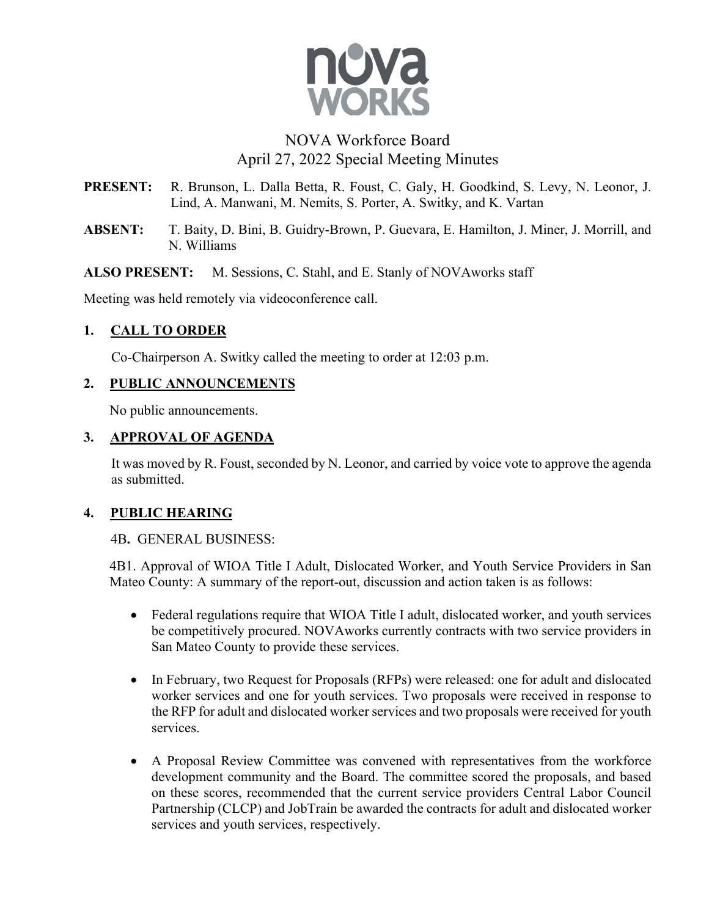

# NOVA Workforce Board April 27, 2022 Special Meeting Minutes

- **PRESENT:** R. Brunson, L. Dalla Betta, R. Foust, C. Galy, H. Goodkind, S. Levy, N. Leonor, J. Lind, A. Manwani, M. Nemits, S. Porter, A. Switky, and K. Vartan
- **ABSENT:** T. Baity, D. Bini, B. Guidry-Brown, P. Guevara, E. Hamilton, J. Miner, J. Morrill, and N. Williams

**ALSO PRESENT:** M. Sessions, C. Stahl, and E. Stanly of NOVAworks staff

Meeting was held remotely via videoconference call.

# **1. CALL TO ORDER**

Co-Chairperson A. Switky called the meeting to order at 12:03 p.m.

### **2. PUBLIC ANNOUNCEMENTS**

No public announcements.

### **3. APPROVAL OF AGENDA**

It was moved by R. Foust, seconded by N. Leonor, and carried by voice vote to approve the agenda as submitted.

### **4. PUBLIC HEARING**

### 4B**.** GENERAL BUSINESS:

4B1. Approval of WIOA Title I Adult, Dislocated Worker, and Youth Service Providers in San Mateo County: A summary of the report-out, discussion and action taken is as follows:

- Federal regulations require that WIOA Title I adult, dislocated worker, and youth services be competitively procured. NOVAworks currently contracts with two service providers in San Mateo County to provide these services.
- In February, two Request for Proposals (RFPs) were released: one for adult and dislocated worker services and one for youth services. Two proposals were received in response to the RFP for adult and dislocated worker services and two proposals were received for youth services.
- A Proposal Review Committee was convened with representatives from the workforce development community and the Board. The committee scored the proposals, and based on these scores, recommended that the current service providers Central Labor Council Partnership (CLCP) and JobTrain be awarded the contracts for adult and dislocated worker services and youth services, respectively.